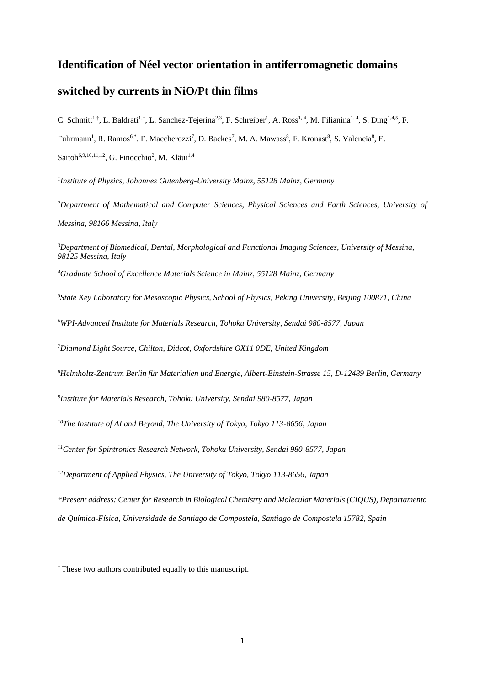# **Identification of Néel vector orientation in antiferromagnetic domains**

## **switched by currents in NiO/Pt thin films**

C. Schmitt<sup>1,†</sup>, L. Baldrati<sup>1,†</sup>, L. Sanchez-Tejerina<sup>2,3</sup>, F. Schreiber<sup>1</sup>, A. Ross<sup>1,4</sup>, M. Filianina<sup>1,4</sup>, S. Ding<sup>1,4,5</sup>, F. Fuhrmann<sup>1</sup>, R. Ramos<sup>6,\*</sup>. F. Maccherozzi<sup>7</sup>, D. Backes<sup>7</sup>, M. A. Mawass<sup>8</sup>, F. Kronast<sup>8</sup>, S. Valencia<sup>8</sup>, E. Saitoh<sup>6,9,10,11,12</sup>, G. Finocchio<sup>2</sup>, M. Kläui<sup>1,4</sup>

*1 Institute of Physics, Johannes Gutenberg-University Mainz, 55128 Mainz, Germany*

*<sup>2</sup>Department of Mathematical and Computer Sciences, Physical Sciences and Earth Sciences, University of Messina, 98166 Messina, Italy*

*<sup>3</sup>Department of Biomedical, Dental, Morphological and Functional Imaging Sciences, University of Messina, 98125 Messina, Italy*

*<sup>4</sup>Graduate School of Excellence Materials Science in Mainz, 55128 Mainz, Germany*

*<sup>5</sup>State Key Laboratory for Mesoscopic Physics, School of Physics, Peking University, Beijing 100871, China*

*<sup>6</sup>WPI-Advanced Institute for Materials Research, Tohoku University, Sendai 980-8577, Japan*

*<sup>7</sup>Diamond Light Source, Chilton, Didcot, Oxfordshire OX11 0DE, United Kingdom*

*<sup>8</sup>Helmholtz-Zentrum Berlin für Materialien und Energie, Albert-Einstein-Strasse 15, D-12489 Berlin, Germany*

*9 Institute for Materials Research, Tohoku University, Sendai 980-8577, Japan*

*<sup>10</sup>The Institute of AI and Beyond, The University of Tokyo, Tokyo 113-8656, Japan*

*<sup>11</sup>Center for Spintronics Research Network, Tohoku University, Sendai 980-8577, Japan*

*<sup>12</sup>Department of Applied Physics, The University of Tokyo, Tokyo 113-8656, Japan*

*\*Present address: Center for Research in Biological Chemistry and Molecular Materials (CIQUS), Departamento de Química-Física, Universidade de Santiago de Compostela, Santiago de Compostela 15782, Spain*

<sup>†</sup> These two authors contributed equally to this manuscript.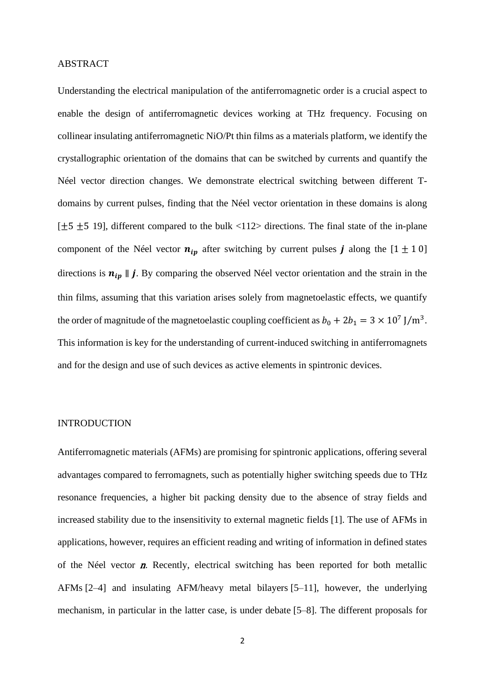### ABSTRACT

Understanding the electrical manipulation of the antiferromagnetic order is a crucial aspect to enable the design of antiferromagnetic devices working at THz frequency. Focusing on collinear insulating antiferromagnetic NiO/Pt thin films as a materials platform, we identify the crystallographic orientation of the domains that can be switched by currents and quantify the Néel vector direction changes. We demonstrate electrical switching between different Tdomains by current pulses, finding that the Néel vector orientation in these domains is along  $[\pm 5 \pm 5 \ 19]$ , different compared to the bulk <112> directions. The final state of the in-plane component of the Néel vector  $n_{ip}$  after switching by current pulses **j** along the  $[1 \pm 1 \ 0]$ directions is  $n_{ip} \parallel j$ . By comparing the observed Néel vector orientation and the strain in the thin films, assuming that this variation arises solely from magnetoelastic effects, we quantify the order of magnitude of the magnetoelastic coupling coefficient as  $b_0 + 2b_1 = 3 \times 10^7$  J/m<sup>3</sup>. This information is key for the understanding of current-induced switching in antiferromagnets and for the design and use of such devices as active elements in spintronic devices.

### INTRODUCTION

Antiferromagnetic materials (AFMs) are promising for spintronic applications, offering several advantages compared to ferromagnets, such as potentially higher switching speeds due to THz resonance frequencies, a higher bit packing density due to the absence of stray fields and increased stability due to the insensitivity to external magnetic fields [1]. The use of AFMs in applications, however, requires an efficient reading and writing of information in defined states of the Néel vector  $n$ . Recently, electrical switching has been reported for both metallic AFMs [2–4] and insulating AFM/heavy metal bilayers [5–11], however, the underlying mechanism, in particular in the latter case, is under debate [5–8]. The different proposals for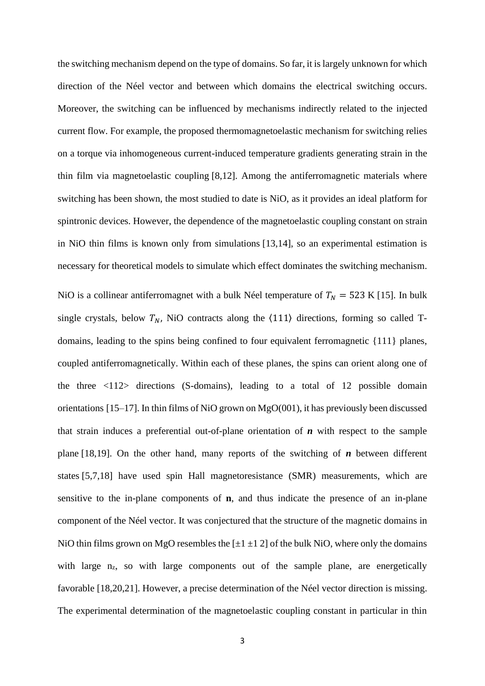the switching mechanism depend on the type of domains. So far, it is largely unknown for which direction of the Néel vector and between which domains the electrical switching occurs. Moreover, the switching can be influenced by mechanisms indirectly related to the injected current flow. For example, the proposed thermomagnetoelastic mechanism for switching relies on a torque via inhomogeneous current-induced temperature gradients generating strain in the thin film via magnetoelastic coupling [8,12]. Among the antiferromagnetic materials where switching has been shown, the most studied to date is NiO, as it provides an ideal platform for spintronic devices. However, the dependence of the magnetoelastic coupling constant on strain in NiO thin films is known only from simulations [13,14], so an experimental estimation is necessary for theoretical models to simulate which effect dominates the switching mechanism.

NiO is a collinear antiferromagnet with a bulk Néel temperature of  $T_N = 523$  K [15]. In bulk single crystals, below  $T_N$ , NiO contracts along the  $\langle 111 \rangle$  directions, forming so called Tdomains, leading to the spins being confined to four equivalent ferromagnetic {111} planes, coupled antiferromagnetically. Within each of these planes, the spins can orient along one of the three  $\langle 112 \rangle$  directions (S-domains), leading to a total of 12 possible domain orientations [15–17]. In thin films of NiO grown on MgO(001), it has previously been discussed that strain induces a preferential out-of-plane orientation of *n* with respect to the sample plane [18,19]. On the other hand, many reports of the switching of *n* between different states [5,7,18] have used spin Hall magnetoresistance (SMR) measurements, which are sensitive to the in-plane components of **n**, and thus indicate the presence of an in-plane component of the Néel vector. It was conjectured that the structure of the magnetic domains in NiO thin films grown on MgO resembles the  $[\pm 1 \pm 1 2]$  of the bulk NiO, where only the domains with large  $n_{z}$ , so with large components out of the sample plane, are energetically favorable [18,20,21]. However, a precise determination of the Néel vector direction is missing. The experimental determination of the magnetoelastic coupling constant in particular in thin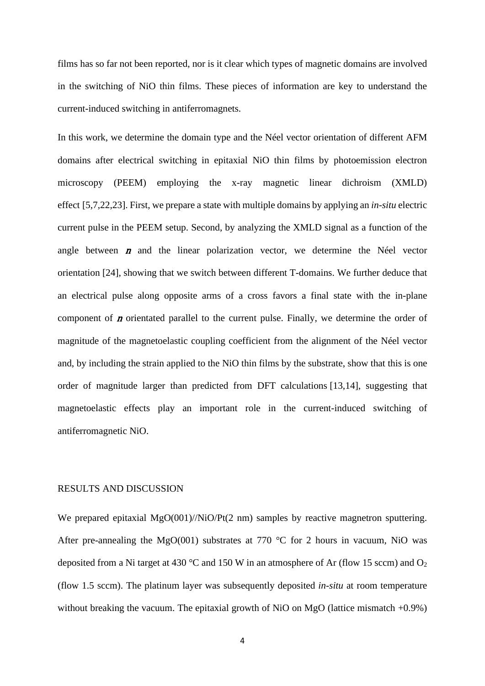films has so far not been reported, nor is it clear which types of magnetic domains are involved in the switching of NiO thin films. These pieces of information are key to understand the current-induced switching in antiferromagnets.

In this work, we determine the domain type and the Néel vector orientation of different AFM domains after electrical switching in epitaxial NiO thin films by photoemission electron microscopy (PEEM) employing the x-ray magnetic linear dichroism (XMLD) effect [5,7,22,23]. First, we prepare a state with multiple domains by applying an *in-situ* electric current pulse in the PEEM setup. Second, by analyzing the XMLD signal as a function of the angle between  $\boldsymbol{n}$  and the linear polarization vector, we determine the Néel vector orientation [24], showing that we switch between different T-domains. We further deduce that an electrical pulse along opposite arms of a cross favors a final state with the in-plane component of  $\bm{n}$  orientated parallel to the current pulse. Finally, we determine the order of magnitude of the magnetoelastic coupling coefficient from the alignment of the Néel vector and, by including the strain applied to the NiO thin films by the substrate, show that this is one order of magnitude larger than predicted from DFT calculations [13,14], suggesting that magnetoelastic effects play an important role in the current-induced switching of antiferromagnetic NiO.

#### RESULTS AND DISCUSSION

We prepared epitaxial MgO(001)//NiO/Pt(2 nm) samples by reactive magnetron sputtering. After pre-annealing the MgO(001) substrates at 770  $\degree$ C for 2 hours in vacuum, NiO was deposited from a Ni target at 430 °C and 150 W in an atmosphere of Ar (flow 15 sccm) and  $O_2$ (flow 1.5 sccm). The platinum layer was subsequently deposited *in-situ* at room temperature without breaking the vacuum. The epitaxial growth of NiO on MgO (lattice mismatch  $+0.9\%$ )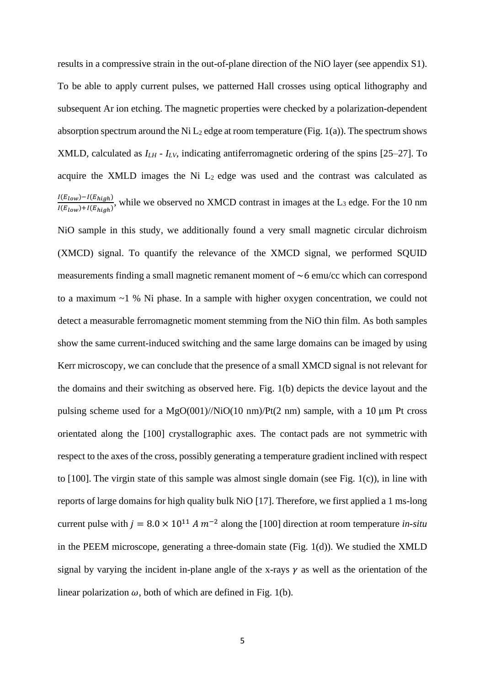results in a compressive strain in the out-of-plane direction of the NiO layer (see appendix S1). To be able to apply current pulses, we patterned Hall crosses using optical lithography and subsequent Ar ion etching. The magnetic properties were checked by a polarization-dependent absorption spectrum around the Ni  $L_2$  edge at room temperature (Fig. 1(a)). The spectrum shows XMLD, calculated as *ILH - ILV*, indicating antiferromagnetic ordering of the spins [25–27]. To acquire the XMLD images the Ni  $L_2$  edge was used and the contrast was calculated as  $I(E_{low})-I(E_{high})$  $\frac{P(E_{low}) - P(E_{high})}{P(E_{low}) + P(E_{high})}$ , while we observed no XMCD contrast in images at the L<sub>3</sub> edge. For the 10 nm NiO sample in this study, we additionally found a very small magnetic circular dichroism (XMCD) signal. To quantify the relevance of the XMCD signal, we performed SQUID measurements finding a small magnetic remanent moment of  $\sim$  6 emu/cc which can correspond to a maximum ~1 % Ni phase. In a sample with higher oxygen concentration, we could not detect a measurable ferromagnetic moment stemming from the NiO thin film. As both samples show the same current-induced switching and the same large domains can be imaged by using Kerr microscopy, we can conclude that the presence of a small XMCD signal is not relevant for the domains and their switching as observed here. Fig. 1(b) depicts the device layout and the pulsing scheme used for a  $MgO(001)/NiO(10 \text{ nm})/Pt(2 \text{ nm})$  sample, with a 10  $\mu$ m Pt cross orientated along the [100] crystallographic axes. The contact pads are not symmetric with respect to the axes of the cross, possibly generating a temperature gradient inclined with respect to [100]. The virgin state of this sample was almost single domain (see Fig. 1(c)), in line with reports of large domains for high quality bulk NiO [17]. Therefore, we first applied a 1 ms-long current pulse with  $j = 8.0 \times 10^{11} A m^{-2}$  along the [100] direction at room temperature *in-situ* in the PEEM microscope, generating a three-domain state (Fig. 1(d)). We studied the XMLD signal by varying the incident in-plane angle of the x-rays  $\gamma$  as well as the orientation of the linear polarization  $\omega$ , both of which are defined in Fig. 1(b).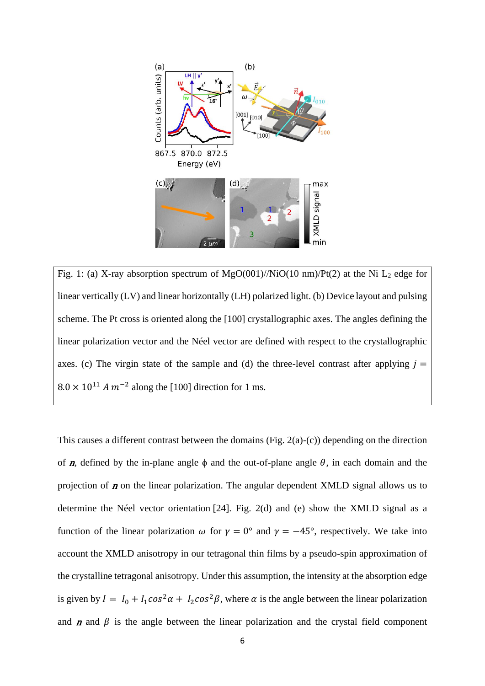

Fig. 1: (a) X-ray absorption spectrum of  $MgO(001)/NiO(10 \text{ nm})/Pt(2)$  at the Ni L<sub>2</sub> edge for linear vertically (LV) and linear horizontally (LH) polarized light. (b) Device layout and pulsing scheme. The Pt cross is oriented along the [100] crystallographic axes. The angles defining the linear polarization vector and the Néel vector are defined with respect to the crystallographic axes. (c) The virgin state of the sample and (d) the three-level contrast after applying  $j =$  $8.0 \times 10^{11}$  A  $m^{-2}$  along the [100] direction for 1 ms.

This causes a different contrast between the domains (Fig. 2(a)-(c)) depending on the direction of  $n$ , defined by the in-plane angle  $\phi$  and the out-of-plane angle  $\theta$ , in each domain and the projection of  $n$  on the linear polarization. The angular dependent XMLD signal allows us to determine the Néel vector orientation [24]. Fig. 2(d) and (e) show the XMLD signal as a function of the linear polarization  $\omega$  for  $\gamma = 0^{\circ}$  and  $\gamma = -45^{\circ}$ , respectively. We take into account the XMLD anisotropy in our tetragonal thin films by a pseudo-spin approximation of the crystalline tetragonal anisotropy. Under this assumption, the intensity at the absorption edge is given by  $I = I_0 + I_1 \cos^2 \alpha + I_2 \cos^2 \beta$ , where  $\alpha$  is the angle between the linear polarization and  $\bf{n}$  and  $\bf{\beta}$  is the angle between the linear polarization and the crystal field component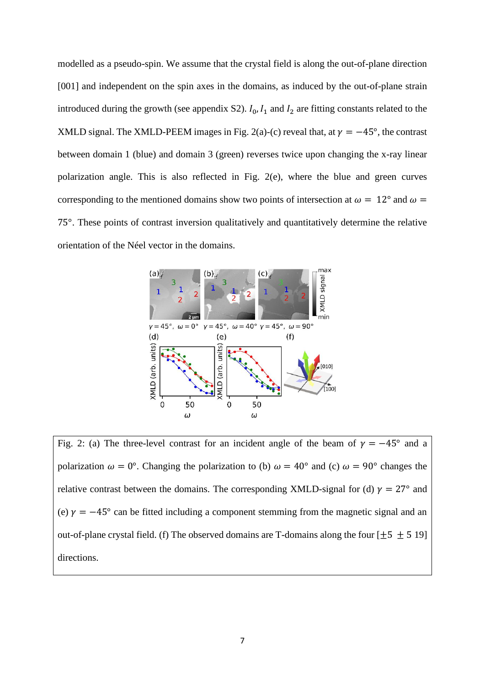modelled as a pseudo-spin. We assume that the crystal field is along the out-of-plane direction [001] and independent on the spin axes in the domains, as induced by the out-of-plane strain introduced during the growth (see appendix S2).  $I_0$ ,  $I_1$  and  $I_2$  are fitting constants related to the XMLD signal. The XMLD-PEEM images in Fig. 2(a)-(c) reveal that, at  $\gamma = -45^{\circ}$ , the contrast between domain 1 (blue) and domain 3 (green) reverses twice upon changing the x-ray linear polarization angle. This is also reflected in Fig. 2(e), where the blue and green curves corresponding to the mentioned domains show two points of intersection at  $\omega = 12^{\circ}$  and  $\omega =$ 75°. These points of contrast inversion qualitatively and quantitatively determine the relative orientation of the Néel vector in the domains.



Fig. 2: (a) The three-level contrast for an incident angle of the beam of  $\gamma = -45^{\circ}$  and a polarization  $\omega = 0^{\circ}$ . Changing the polarization to (b)  $\omega = 40^{\circ}$  and (c)  $\omega = 90^{\circ}$  changes the relative contrast between the domains. The corresponding XMLD-signal for (d)  $\gamma = 27^{\circ}$  and (e)  $\gamma = -45^{\circ}$  can be fitted including a component stemming from the magnetic signal and an out-of-plane crystal field. (f) The observed domains are T-domains along the four  $[\pm 5 \pm 5 \ 19]$ directions.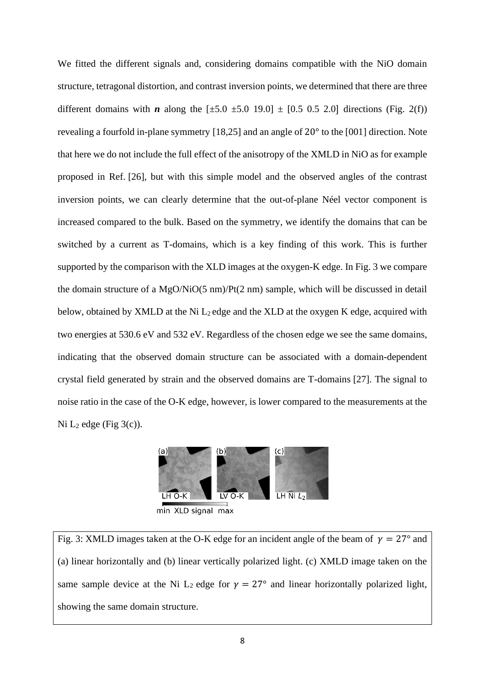We fitted the different signals and, considering domains compatible with the NiO domain structure, tetragonal distortion, and contrast inversion points, we determined that there are three different domains with *n* along the  $[\pm 5.0 \pm 5.0 \pm 9.0] \pm [0.5 \pm 0.5 \pm 2.0]$  directions (Fig. 2(f)) revealing a fourfold in-plane symmetry [18,25] and an angle of 20° to the [001] direction. Note that here we do not include the full effect of the anisotropy of the XMLD in NiO as for example proposed in Ref. [26], but with this simple model and the observed angles of the contrast inversion points, we can clearly determine that the out-of-plane Néel vector component is increased compared to the bulk. Based on the symmetry, we identify the domains that can be switched by a current as T-domains, which is a key finding of this work. This is further supported by the comparison with the XLD images at the oxygen-K edge. In Fig. 3 we compare the domain structure of a MgO/NiO(5 nm)/Pt(2 nm) sample, which will be discussed in detail below, obtained by XMLD at the Ni  $L_2$  edge and the XLD at the oxygen K edge, acquired with two energies at 530.6 eV and 532 eV. Regardless of the chosen edge we see the same domains, indicating that the observed domain structure can be associated with a domain-dependent crystal field generated by strain and the observed domains are T-domains [27]. The signal to noise ratio in the case of the O-K edge, however, is lower compared to the measurements at the Ni  $L_2$  edge (Fig  $3(c)$ ).



min XLD signal max

Fig. 3: XMLD images taken at the O-K edge for an incident angle of the beam of  $\gamma = 27^{\circ}$  and (a) linear horizontally and (b) linear vertically polarized light. (c) XMLD image taken on the same sample device at the Ni L<sub>2</sub> edge for  $\gamma = 27^{\circ}$  and linear horizontally polarized light, showing the same domain structure.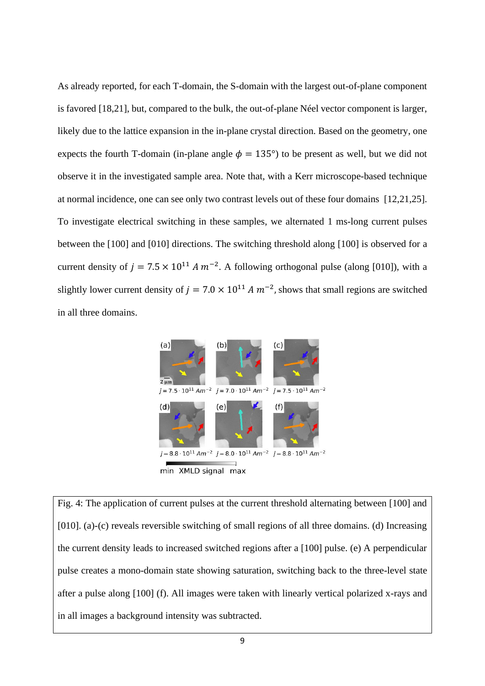As already reported, for each T-domain, the S-domain with the largest out-of-plane component is favored [18,21], but, compared to the bulk, the out-of-plane Néel vector component is larger, likely due to the lattice expansion in the in-plane crystal direction. Based on the geometry, one expects the fourth T-domain (in-plane angle  $\phi = 135^{\circ}$ ) to be present as well, but we did not observe it in the investigated sample area. Note that, with a Kerr microscope-based technique at normal incidence, one can see only two contrast levels out of these four domains [12,21,25]. To investigate electrical switching in these samples, we alternated 1 ms-long current pulses between the [100] and [010] directions. The switching threshold along [100] is observed for a current density of  $j = 7.5 \times 10^{11} A m^{-2}$ . A following orthogonal pulse (along [010]), with a slightly lower current density of  $j = 7.0 \times 10^{11} A m^{-2}$ , shows that small regions are switched in all three domains.



Fig. 4: The application of current pulses at the current threshold alternating between [100] and [010]. (a)-(c) reveals reversible switching of small regions of all three domains. (d) Increasing the current density leads to increased switched regions after a [100] pulse. (e) A perpendicular pulse creates a mono-domain state showing saturation, switching back to the three-level state after a pulse along [100] (f). All images were taken with linearly vertical polarized x-rays and in all images a background intensity was subtracted.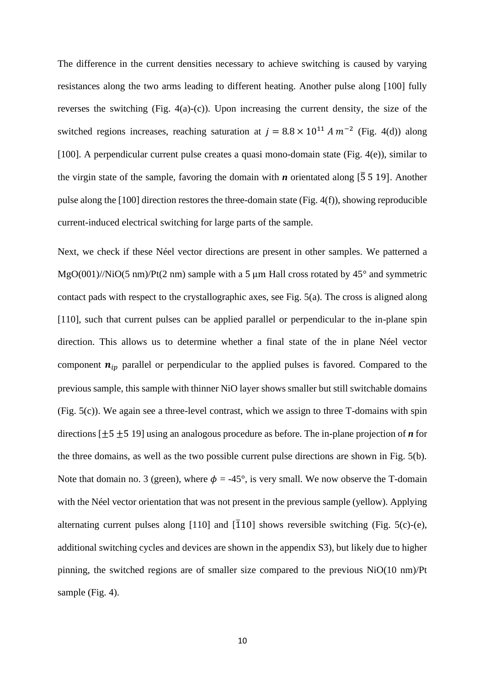The difference in the current densities necessary to achieve switching is caused by varying resistances along the two arms leading to different heating. Another pulse along [100] fully reverses the switching (Fig. 4(a)-(c)). Upon increasing the current density, the size of the switched regions increases, reaching saturation at  $j = 8.8 \times 10^{11} A m^{-2}$  (Fig. 4(d)) along [100]. A perpendicular current pulse creates a quasi mono-domain state (Fig. 4(e)), similar to the virgin state of the sample, favoring the domain with *n* orientated along [ $\overline{5}$  5 19]. Another pulse along the [100] direction restores the three-domain state (Fig. 4(f)), showing reproducible current-induced electrical switching for large parts of the sample.

Next, we check if these Néel vector directions are present in other samples. We patterned a  $MgO(001)/NiO(5 \text{ nm})/Pt(2 \text{ nm})$  sample with a 5 um Hall cross rotated by 45 $^{\circ}$  and symmetric contact pads with respect to the crystallographic axes, see Fig. 5(a). The cross is aligned along [110], such that current pulses can be applied parallel or perpendicular to the in-plane spin direction. This allows us to determine whether a final state of the in plane Néel vector component  $n_{ip}$  parallel or perpendicular to the applied pulses is favored. Compared to the previous sample, this sample with thinner NiO layer shows smaller but still switchable domains (Fig. 5(c)). We again see a three-level contrast, which we assign to three T-domains with spin directions [±5 ±5 19] using an analogous procedure as before. The in-plane projection of *n* for the three domains, as well as the two possible current pulse directions are shown in Fig. 5(b). Note that domain no. 3 (green), where  $\phi = -45^{\circ}$ , is very small. We now observe the T-domain with the Néel vector orientation that was not present in the previous sample (yellow). Applying alternating current pulses along [110] and  $\overline{1}10$ ] shows reversible switching (Fig. 5(c)-(e), additional switching cycles and devices are shown in the appendix S3), but likely due to higher pinning, the switched regions are of smaller size compared to the previous NiO(10 nm)/Pt sample (Fig. 4).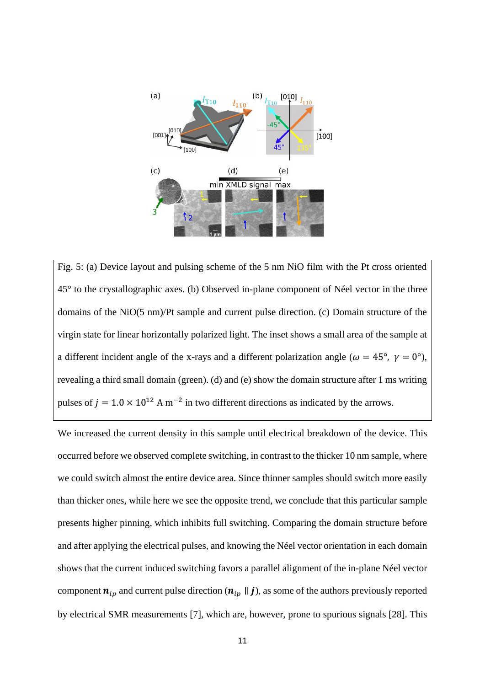

Fig. 5: (a) Device layout and pulsing scheme of the 5 nm NiO film with the Pt cross oriented 45° to the crystallographic axes. (b) Observed in-plane component of Néel vector in the three domains of the NiO(5 nm)/Pt sample and current pulse direction. (c) Domain structure of the virgin state for linear horizontally polarized light. The inset shows a small area of the sample at a different incident angle of the x-rays and a different polarization angle ( $\omega = 45^{\circ}$ ,  $\gamma = 0^{\circ}$ ), revealing a third small domain (green). (d) and (e) show the domain structure after 1 ms writing pulses of  $j = 1.0 \times 10^{12}$  A m<sup>-2</sup> in two different directions as indicated by the arrows.

We increased the current density in this sample until electrical breakdown of the device. This occurred before we observed complete switching, in contrast to the thicker 10 nm sample, where we could switch almost the entire device area. Since thinner samples should switch more easily than thicker ones, while here we see the opposite trend, we conclude that this particular sample presents higher pinning, which inhibits full switching. Comparing the domain structure before and after applying the electrical pulses, and knowing the Néel vector orientation in each domain shows that the current induced switching favors a parallel alignment of the in-plane Néel vector component  $n_{ip}$  and current pulse direction  $(n_{ip} \parallel j)$ , as some of the authors previously reported by electrical SMR measurements [7], which are, however, prone to spurious signals [28]. This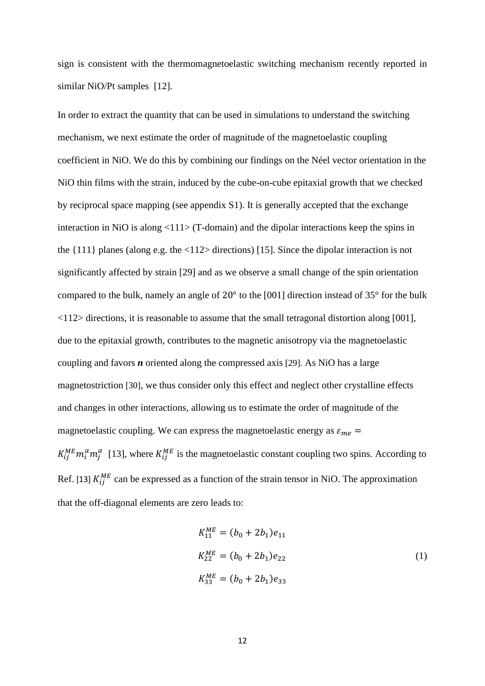sign is consistent with the thermomagnetoelastic switching mechanism recently reported in similar NiO/Pt samples [12].

In order to extract the quantity that can be used in simulations to understand the switching mechanism, we next estimate the order of magnitude of the magnetoelastic coupling coefficient in NiO. We do this by combining our findings on the Néel vector orientation in the NiO thin films with the strain, induced by the cube-on-cube epitaxial growth that we checked by reciprocal space mapping (see appendix S1). It is generally accepted that the exchange interaction in NiO is along  $\langle 111 \rangle$  (T-domain) and the dipolar interactions keep the spins in the {111} planes (along e.g. the <112> directions) [15]. Since the dipolar interaction is not significantly affected by strain [29] and as we observe a small change of the spin orientation compared to the bulk, namely an angle of 20° to the [001] direction instead of 35° for the bulk <112> directions, it is reasonable to assume that the small tetragonal distortion along [001], due to the epitaxial growth, contributes to the magnetic anisotropy via the magnetoelastic coupling and favors *n* oriented along the compressed axis [29]. As NiO has a large magnetostriction [30], we thus consider only this effect and neglect other crystalline effects and changes in other interactions, allowing us to estimate the order of magnitude of the magnetoelastic coupling. We can express the magnetoelastic energy as  $\varepsilon_{me}$  =  $K_{ij}^{ME}m_i^{\alpha}m_j^{\alpha}$  [13], where  $K_{ij}^{ME}$  is the magnetoelastic constant coupling two spins. According to Ref. [13]  $K_{ij}^{ME}$  can be expressed as a function of the strain tensor in NiO. The approximation that the off-diagonal elements are zero leads to:

$$
K_{11}^{ME} = (b_0 + 2b_1)e_{11}
$$
  
\n
$$
K_{22}^{ME} = (b_0 + 2b_1)e_{22}
$$
  
\n
$$
K_{33}^{ME} = (b_0 + 2b_1)e_{33}
$$
\n(1)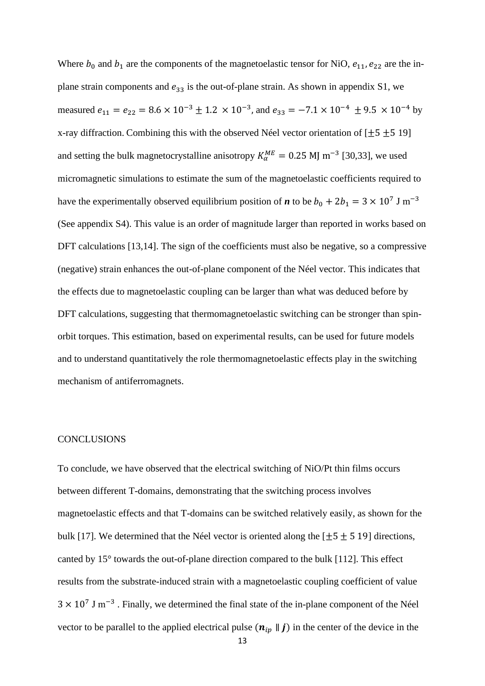Where  $b_0$  and  $b_1$  are the components of the magnetoelastic tensor for NiO,  $e_{11}$ ,  $e_{22}$  are the inplane strain components and  $e_{33}$  is the out-of-plane strain. As shown in appendix S1, we measured  $e_{11} = e_{22} = 8.6 \times 10^{-3} \pm 1.2 \times 10^{-3}$ , and  $e_{33} = -7.1 \times 10^{-4} \pm 9.5 \times 10^{-4}$  by x-ray diffraction. Combining this with the observed Néel vector orientation of  $[\pm 5 \pm 5 \ 19]$ and setting the bulk magnetocrystalline anisotropy  $K_{\alpha}^{ME} = 0.25$  MJ m<sup>-3</sup> [30,33], we used micromagnetic simulations to estimate the sum of the magnetoelastic coefficients required to have the experimentally observed equilibrium position of *n* to be  $b_0 + 2b_1 = 3 \times 10^7$  J m<sup>-3</sup> (See appendix S4). This value is an order of magnitude larger than reported in works based on DFT calculations [13,14]. The sign of the coefficients must also be negative, so a compressive (negative) strain enhances the out-of-plane component of the Néel vector. This indicates that the effects due to magnetoelastic coupling can be larger than what was deduced before by DFT calculations, suggesting that thermomagnetoelastic switching can be stronger than spinorbit torques. This estimation, based on experimental results, can be used for future models and to understand quantitatively the role thermomagnetoelastic effects play in the switching mechanism of antiferromagnets.

#### **CONCLUSIONS**

To conclude, we have observed that the electrical switching of NiO/Pt thin films occurs between different T-domains, demonstrating that the switching process involves magnetoelastic effects and that T-domains can be switched relatively easily, as shown for the bulk [17]. We determined that the Néel vector is oriented along the  $[\pm 5 \pm 5 \ 19]$  directions, canted by 15° towards the out-of-plane direction compared to the bulk [112]. This effect results from the substrate-induced strain with a magnetoelastic coupling coefficient of value  $3 \times 10^7$  J m<sup>-3</sup>. Finally, we determined the final state of the in-plane component of the Néel vector to be parallel to the applied electrical pulse  $(n_{ip} \parallel j)$  in the center of the device in the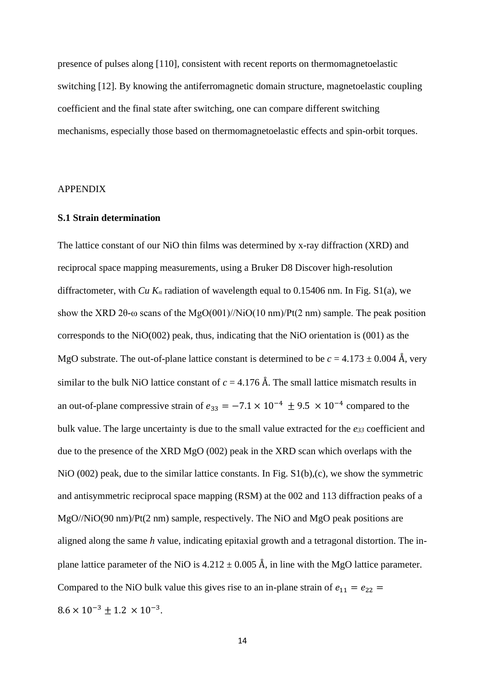presence of pulses along [110], consistent with recent reports on thermomagnetoelastic switching [12]. By knowing the antiferromagnetic domain structure, magnetoelastic coupling coefficient and the final state after switching, one can compare different switching mechanisms, especially those based on thermomagnetoelastic effects and spin-orbit torques.

### APPENDIX

#### **S.1 Strain determination**

The lattice constant of our NiO thin films was determined by x-ray diffraction (XRD) and reciprocal space mapping measurements, using a Bruker D8 Discover high-resolution diffractometer, with *Cu K<sup>α</sup>* radiation of wavelength equal to 0.15406 nm. In Fig. S1(a), we show the XRD 2 $\theta$ - $\omega$  scans of the MgO(001)//NiO(10 nm)/Pt(2 nm) sample. The peak position corresponds to the NiO(002) peak, thus, indicating that the NiO orientation is (001) as the MgO substrate. The out-of-plane lattice constant is determined to be  $c = 4.173 \pm 0.004$  Å, very similar to the bulk NiO lattice constant of  $c = 4.176$  Å. The small lattice mismatch results in an out-of-plane compressive strain of  $e_{33} = -7.1 \times 10^{-4} \pm 9.5 \times 10^{-4}$  compared to the bulk value. The large uncertainty is due to the small value extracted for the *e<sup>33</sup>* coefficient and due to the presence of the XRD MgO (002) peak in the XRD scan which overlaps with the NiO (002) peak, due to the similar lattice constants. In Fig. S1(b),(c), we show the symmetric and antisymmetric reciprocal space mapping (RSM) at the 002 and 113 diffraction peaks of a MgO//NiO(90 nm)/Pt(2 nm) sample, respectively. The NiO and MgO peak positions are aligned along the same *h* value, indicating epitaxial growth and a tetragonal distortion. The inplane lattice parameter of the NiO is  $4.212 \pm 0.005$  Å, in line with the MgO lattice parameter. Compared to the NiO bulk value this gives rise to an in-plane strain of  $e_{11} = e_{22}$  $8.6 \times 10^{-3} \pm 1.2 \times 10^{-3}$ .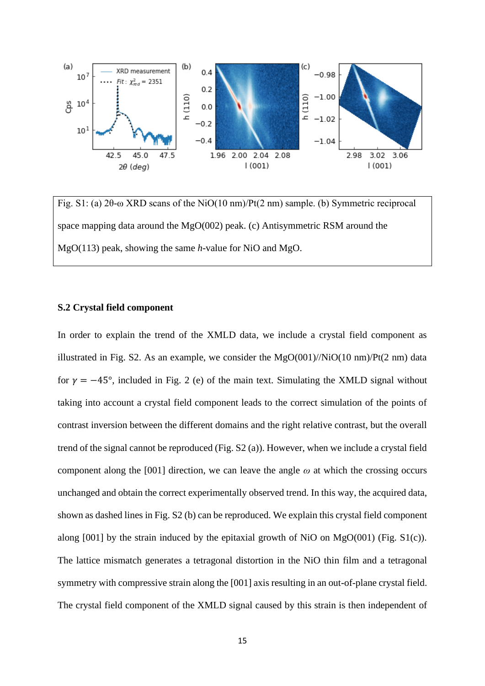

Fig. S1: (a) 2θ-ω XRD scans of the NiO(10 nm)/Pt(2 nm) sample. (b) Symmetric reciprocal space mapping data around the MgO(002) peak. (c) Antisymmetric RSM around the MgO(113) peak, showing the same *h-*value for NiO and MgO.

### **S.2 Crystal field component**

In order to explain the trend of the XMLD data, we include a crystal field component as illustrated in Fig. S2. As an example, we consider the  $MgO(001)/NiO(10 \text{ nm})/Pt(2 \text{ nm})$  data for  $\gamma = -45^{\circ}$ , included in Fig. 2 (e) of the main text. Simulating the XMLD signal without taking into account a crystal field component leads to the correct simulation of the points of contrast inversion between the different domains and the right relative contrast, but the overall trend of the signal cannot be reproduced (Fig. S2 (a)). However, when we include a crystal field component along the [001] direction, we can leave the angle  $\omega$  at which the crossing occurs unchanged and obtain the correct experimentally observed trend. In this way, the acquired data, shown as dashed lines in Fig. S2 (b) can be reproduced. We explain this crystal field component along  $[001]$  by the strain induced by the epitaxial growth of NiO on MgO(001) (Fig. S1(c)). The lattice mismatch generates a tetragonal distortion in the NiO thin film and a tetragonal symmetry with compressive strain along the [001] axis resulting in an out-of-plane crystal field. The crystal field component of the XMLD signal caused by this strain is then independent of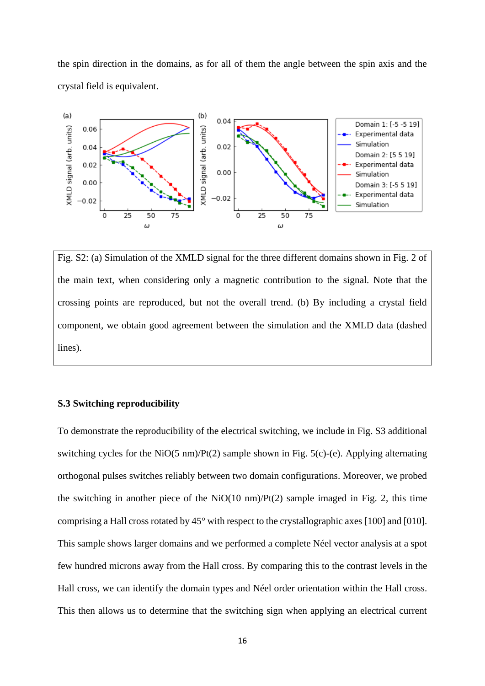the spin direction in the domains, as for all of them the angle between the spin axis and the crystal field is equivalent.



Fig. S2: (a) Simulation of the XMLD signal for the three different domains shown in Fig. 2 of the main text, when considering only a magnetic contribution to the signal. Note that the crossing points are reproduced, but not the overall trend. (b) By including a crystal field component, we obtain good agreement between the simulation and the XMLD data (dashed lines).

### **S.3 Switching reproducibility**

To demonstrate the reproducibility of the electrical switching, we include in Fig. S3 additional switching cycles for the NiO(5 nm)/Pt(2) sample shown in Fig. 5(c)-(e). Applying alternating orthogonal pulses switches reliably between two domain configurations. Moreover, we probed the switching in another piece of the  $NiO(10 \text{ nm})/Pt(2)$  sample imaged in Fig. 2, this time comprising a Hall cross rotated by 45° with respect to the crystallographic axes [100] and [010]. This sample shows larger domains and we performed a complete Néel vector analysis at a spot few hundred microns away from the Hall cross. By comparing this to the contrast levels in the Hall cross, we can identify the domain types and Néel order orientation within the Hall cross. This then allows us to determine that the switching sign when applying an electrical current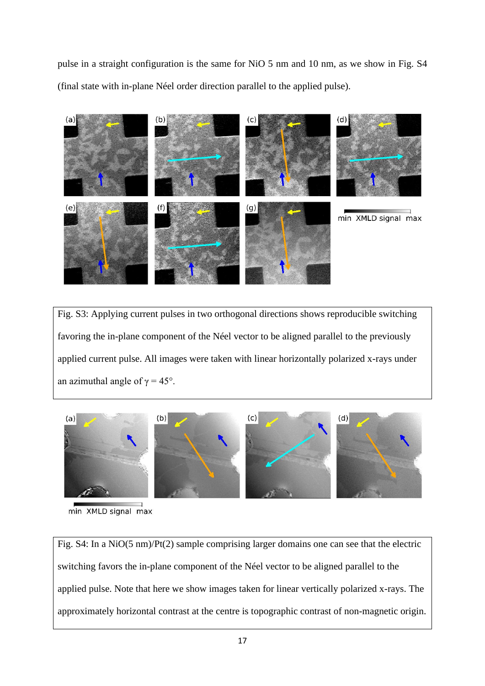pulse in a straight configuration is the same for NiO 5 nm and 10 nm, as we show in Fig. S4 (final state with in-plane Néel order direction parallel to the applied pulse).



Fig. S3: Applying current pulses in two orthogonal directions shows reproducible switching favoring the in-plane component of the Néel vector to be aligned parallel to the previously applied current pulse. All images were taken with linear horizontally polarized x-rays under an azimuthal angle of  $\gamma = 45^{\circ}$ .



min XMLD signal max

Fig. S4: In a NiO(5 nm)/Pt(2) sample comprising larger domains one can see that the electric switching favors the in-plane component of the Néel vector to be aligned parallel to the applied pulse. Note that here we show images taken for linear vertically polarized x-rays. The approximately horizontal contrast at the centre is topographic contrast of non-magnetic origin.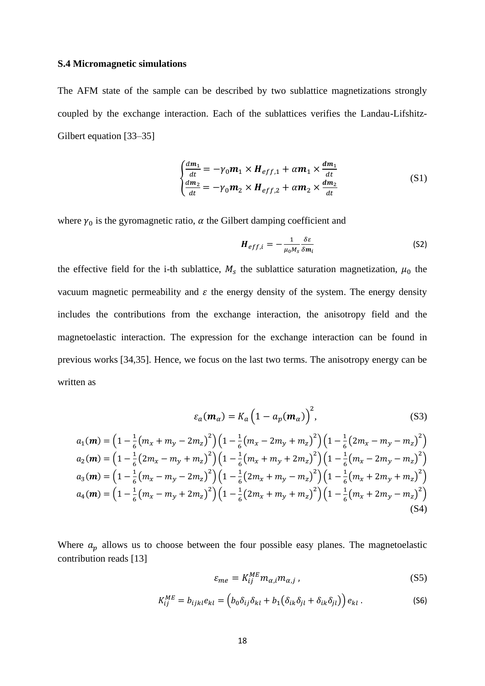#### **S.4 Micromagnetic simulations**

The AFM state of the sample can be described by two sublattice magnetizations strongly coupled by the exchange interaction. Each of the sublattices verifies the Landau-Lifshitz-Gilbert equation [33–35]

$$
\begin{cases}\n\frac{dm_1}{dt} = -\gamma_0 m_1 \times H_{eff,1} + \alpha m_1 \times \frac{dm_1}{dt} \\
\frac{dm_2}{dt} = -\gamma_0 m_2 \times H_{eff,2} + \alpha m_2 \times \frac{dm_2}{dt}\n\end{cases} (S1)
$$

where  $\gamma_0$  is the gyromagnetic ratio,  $\alpha$  the Gilbert damping coefficient and

$$
H_{eff,i} = -\frac{1}{\mu_0 M_s} \frac{\delta \varepsilon}{\delta m_i}
$$
 (S2)

the effective field for the i-th sublattice,  $M_s$  the sublattice saturation magnetization,  $\mu_0$  the vacuum magnetic permeability and  $\varepsilon$  the energy density of the system. The energy density includes the contributions from the exchange interaction, the anisotropy field and the magnetoelastic interaction. The expression for the exchange interaction can be found in previous works [34,35]. Hence, we focus on the last two terms. The anisotropy energy can be written as

$$
\varepsilon_a(\mathbf{m}_\alpha) = K_a \left(1 - a_p(\mathbf{m}_\alpha)\right)^2, \tag{S3}
$$

$$
a_1(\mathbf{m}) = \left(1 - \frac{1}{6}\left(m_x + m_y - 2m_z\right)^2\right)\left(1 - \frac{1}{6}\left(m_x - 2m_y + m_z\right)^2\right)\left(1 - \frac{1}{6}\left(2m_x - m_y - m_z\right)^2\right)
$$
  
\n
$$
a_2(\mathbf{m}) = \left(1 - \frac{1}{6}\left(2m_x - m_y + m_z\right)^2\right)\left(1 - \frac{1}{6}\left(m_x + m_y + 2m_z\right)^2\right)\left(1 - \frac{1}{6}\left(m_x - 2m_y - m_z\right)^2\right)
$$
  
\n
$$
a_3(\mathbf{m}) = \left(1 - \frac{1}{6}\left(m_x - m_y - 2m_z\right)^2\right)\left(1 - \frac{1}{6}\left(2m_x + m_y - m_z\right)^2\right)\left(1 - \frac{1}{6}\left(m_x + 2m_y + m_z\right)^2\right)
$$
  
\n
$$
a_4(\mathbf{m}) = \left(1 - \frac{1}{6}\left(m_x - m_y + 2m_z\right)^2\right)\left(1 - \frac{1}{6}\left(2m_x + m_y + m_z\right)^2\right)\left(1 - \frac{1}{6}\left(m_x + 2m_y - m_z\right)^2\right)
$$
  
\n
$$
(S4)
$$

Where  $a_p$  allows us to choose between the four possible easy planes. The magnetoelastic contribution reads [13]

$$
\varepsilon_{me} = K_{ij}^{ME} m_{\alpha,i} m_{\alpha,j} \,, \tag{S5}
$$

$$
K_{ij}^{ME} = b_{ijkl} e_{kl} = \left( b_0 \delta_{ij} \delta_{kl} + b_1 (\delta_{ik} \delta_{jl} + \delta_{ik} \delta_{jl}) \right) e_{kl} \,. \tag{S6}
$$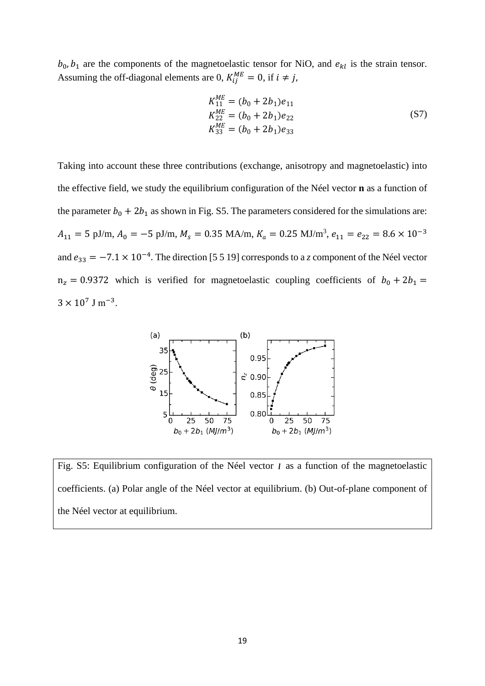$b_0$ ,  $b_1$  are the components of the magnetoelastic tensor for NiO, and  $e_{kl}$  is the strain tensor. Assuming the off-diagonal elements are 0,  $K_{ij}^{ME} = 0$ , if  $i \neq j$ ,

$$
K_{11}^{ME} = (b_0 + 2b_1)e_{11}
$$
  
\n
$$
K_{22}^{ME} = (b_0 + 2b_1)e_{22}
$$
  
\n
$$
K_{33}^{ME} = (b_0 + 2b_1)e_{33}
$$
\n(S7)

Taking into account these three contributions (exchange, anisotropy and magnetoelastic) into the effective field, we study the equilibrium configuration of the Néel vector **n** as a function of the parameter  $b_0 + 2b_1$  as shown in Fig. S5. The parameters considered for the simulations are:  $A_{11} = 5$  pJ/m,  $A_0 = -5$  pJ/m,  $M_s = 0.35$  MA/m,  $K_a = 0.25$  MJ/m<sup>3</sup>,  $e_{11} = e_{22} = 8.6 \times 10^{-3}$ and  $e_{33} = -7.1 \times 10^{-4}$ . The direction [5 5 19] corresponds to a *z* component of the Néel vector  $n_z = 0.9372$  which is verified for magnetoelastic coupling coefficients of  $b_0 + 2b_1 =$  $3 \times 10^7$  J m<sup>-3</sup>.



Fig. S5: Equilibrium configuration of the Néel vector *l* as a function of the magnetoelastic coefficients. (a) Polar angle of the Néel vector at equilibrium. (b) Out-of-plane component of the Néel vector at equilibrium.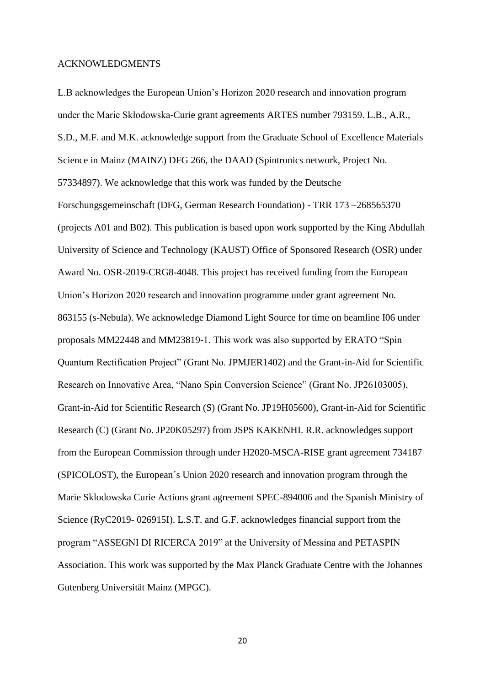#### ACKNOWLEDGMENTS

L.B acknowledges the European Union's Horizon 2020 research and innovation program under the Marie Skłodowska-Curie grant agreements ARTES number 793159. L.B., A.R., S.D., M.F. and M.K. acknowledge support from the Graduate School of Excellence Materials Science in Mainz (MAINZ) DFG 266, the DAAD (Spintronics network, Project No. 57334897). We acknowledge that this work was funded by the Deutsche Forschungsgemeinschaft (DFG, German Research Foundation) - TRR 173 –268565370 (projects A01 and B02). This publication is based upon work supported by the King Abdullah University of Science and Technology (KAUST) Office of Sponsored Research (OSR) under Award No. OSR-2019-CRG8-4048. This project has received funding from the European Union's Horizon 2020 research and innovation programme under grant agreement No. 863155 (s-Nebula). We acknowledge Diamond Light Source for time on beamline I06 under proposals MM22448 and MM23819-1. This work was also supported by ERATO "Spin Quantum Rectification Project" (Grant No. JPMJER1402) and the Grant-in-Aid for Scientific Research on Innovative Area, "Nano Spin Conversion Science" (Grant No. JP26103005), Grant-in-Aid for Scientific Research (S) (Grant No. JP19H05600), Grant-in-Aid for Scientific Research (C) (Grant No. JP20K05297) from JSPS KAKENHI. R.R. acknowledges support from the European Commission through under H2020-MSCA-RISE grant agreement 734187 (SPICOLOST), the European´s Union 2020 research and innovation program through the Marie Sklodowska Curie Actions grant agreement SPEC-894006 and the Spanish Ministry of Science (RyC2019- 026915I). L.S.T. and G.F. acknowledges financial support from the program "ASSEGNI DI RICERCA 2019" at the University of Messina and PETASPIN Association. This work was supported by the Max Planck Graduate Centre with the Johannes Gutenberg Universität Mainz (MPGC).

20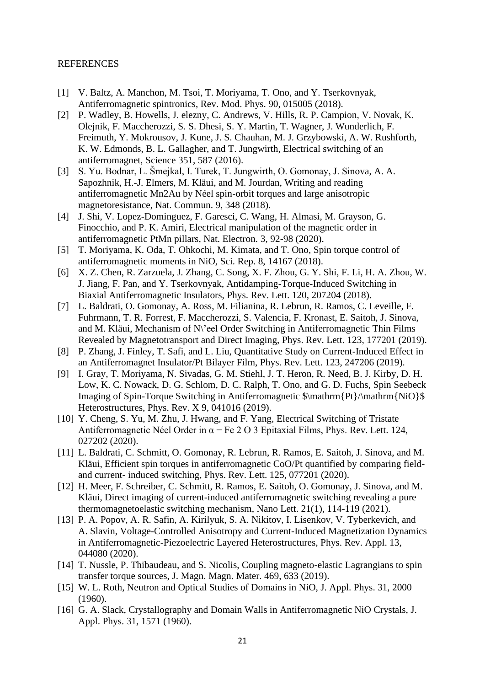## REFERENCES

- [1] V. Baltz, A. Manchon, M. Tsoi, T. Moriyama, T. Ono, and Y. Tserkovnyak, Antiferromagnetic spintronics, Rev. Mod. Phys. 90, 015005 (2018).
- [2] P. Wadley, B. Howells, J. elezny, C. Andrews, V. Hills, R. P. Campion, V. Novak, K. Olejnik, F. Maccherozzi, S. S. Dhesi, S. Y. Martin, T. Wagner, J. Wunderlich, F. Freimuth, Y. Mokrousov, J. Kune, J. S. Chauhan, M. J. Grzybowski, A. W. Rushforth, K. W. Edmonds, B. L. Gallagher, and T. Jungwirth, Electrical switching of an antiferromagnet, Science 351, 587 (2016).
- [3] S. Yu. Bodnar, L. Šmejkal, I. Turek, T. Jungwirth, O. Gomonay, J. Sinova, A. A. Sapozhnik, H.-J. Elmers, M. Kläui, and M. Jourdan, Writing and reading antiferromagnetic Mn2Au by Néel spin-orbit torques and large anisotropic magnetoresistance, Nat. Commun. 9, 348 (2018).
- [4] J. Shi, V. Lopez-Dominguez, F. Garesci, C. Wang, H. Almasi, M. Grayson, G. Finocchio, and P. K. Amiri, Electrical manipulation of the magnetic order in antiferromagnetic PtMn pillars, Nat. Electron. 3, 92-98 (2020).
- [5] T. Moriyama, K. Oda, T. Ohkochi, M. Kimata, and T. Ono, Spin torque control of antiferromagnetic moments in NiO, Sci. Rep. 8, 14167 (2018).
- [6] X. Z. Chen, R. Zarzuela, J. Zhang, C. Song, X. F. Zhou, G. Y. Shi, F. Li, H. A. Zhou, W. J. Jiang, F. Pan, and Y. Tserkovnyak, Antidamping-Torque-Induced Switching in Biaxial Antiferromagnetic Insulators, Phys. Rev. Lett. 120, 207204 (2018).
- [7] L. Baldrati, O. Gomonay, A. Ross, M. Filianina, R. Lebrun, R. Ramos, C. Leveille, F. Fuhrmann, T. R. Forrest, F. Maccherozzi, S. Valencia, F. Kronast, E. Saitoh, J. Sinova, and M. Kläui, Mechanism of N\'eel Order Switching in Antiferromagnetic Thin Films Revealed by Magnetotransport and Direct Imaging, Phys. Rev. Lett. 123, 177201 (2019).
- [8] P. Zhang, J. Finley, T. Safi, and L. Liu, Quantitative Study on Current-Induced Effect in an Antiferromagnet Insulator/Pt Bilayer Film, Phys. Rev. Lett. 123, 247206 (2019).
- [9] I. Gray, T. Moriyama, N. Sivadas, G. M. Stiehl, J. T. Heron, R. Need, B. J. Kirby, D. H. Low, K. C. Nowack, D. G. Schlom, D. C. Ralph, T. Ono, and G. D. Fuchs, Spin Seebeck Imaging of Spin-Torque Switching in Antiferromagnetic \$\mathrm{Pt}/\mathrm{NiO}\$ Heterostructures, Phys. Rev. X 9, 041016 (2019).
- [10] Y. Cheng, S. Yu, M. Zhu, J. Hwang, and F. Yang, Electrical Switching of Tristate Antiferromagnetic Néel Order in  $\alpha$  – Fe 2 O 3 Epitaxial Films, Phys. Rev. Lett. 124, 027202 (2020).
- [11] L. Baldrati, C. Schmitt, O. Gomonay, R. Lebrun, R. Ramos, E. Saitoh, J. Sinova, and M. Kläui, Efficient spin torques in antiferromagnetic CoO/Pt quantified by comparing fieldand current- induced switching, Phys. Rev. Lett. 125, 077201 (2020).
- [12] H. Meer, F. Schreiber, C. Schmitt, R. Ramos, E. Saitoh, O. Gomonay, J. Sinova, and M. Kläui, Direct imaging of current-induced antiferromagnetic switching revealing a pure thermomagnetoelastic switching mechanism, Nano Lett. 21(1), 114-119 (2021).
- [13] P. A. Popov, A. R. Safin, A. Kirilyuk, S. A. Nikitov, I. Lisenkov, V. Tyberkevich, and A. Slavin, Voltage-Controlled Anisotropy and Current-Induced Magnetization Dynamics in Antiferromagnetic-Piezoelectric Layered Heterostructures, Phys. Rev. Appl. 13, 044080 (2020).
- [14] T. Nussle, P. Thibaudeau, and S. Nicolis, Coupling magneto-elastic Lagrangians to spin transfer torque sources, J. Magn. Magn. Mater. 469, 633 (2019).
- [15] W. L. Roth, Neutron and Optical Studies of Domains in NiO, J. Appl. Phys. 31, 2000 (1960).
- [16] G. A. Slack, Crystallography and Domain Walls in Antiferromagnetic NiO Crystals, J. Appl. Phys. 31, 1571 (1960).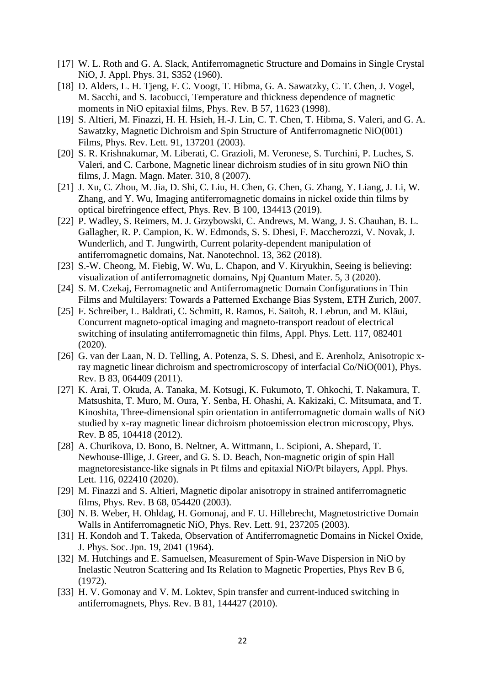- [17] W. L. Roth and G. A. Slack, Antiferromagnetic Structure and Domains in Single Crystal NiO, J. Appl. Phys. 31, S352 (1960).
- [18] D. Alders, L. H. Tjeng, F. C. Voogt, T. Hibma, G. A. Sawatzky, C. T. Chen, J. Vogel, M. Sacchi, and S. Iacobucci, Temperature and thickness dependence of magnetic moments in NiO epitaxial films, Phys. Rev. B 57, 11623 (1998).
- [19] S. Altieri, M. Finazzi, H. H. Hsieh, H.-J. Lin, C. T. Chen, T. Hibma, S. Valeri, and G. A. Sawatzky, Magnetic Dichroism and Spin Structure of Antiferromagnetic NiO(001) Films, Phys. Rev. Lett. 91, 137201 (2003).
- [20] S. R. Krishnakumar, M. Liberati, C. Grazioli, M. Veronese, S. Turchini, P. Luches, S. Valeri, and C. Carbone, Magnetic linear dichroism studies of in situ grown NiO thin films, J. Magn. Magn. Mater. 310, 8 (2007).
- [21] J. Xu, C. Zhou, M. Jia, D. Shi, C. Liu, H. Chen, G. Chen, G. Zhang, Y. Liang, J. Li, W. Zhang, and Y. Wu, Imaging antiferromagnetic domains in nickel oxide thin films by optical birefringence effect, Phys. Rev. B 100, 134413 (2019).
- [22] P. Wadley, S. Reimers, M. J. Grzybowski, C. Andrews, M. Wang, J. S. Chauhan, B. L. Gallagher, R. P. Campion, K. W. Edmonds, S. S. Dhesi, F. Maccherozzi, V. Novak, J. Wunderlich, and T. Jungwirth, Current polarity-dependent manipulation of antiferromagnetic domains, Nat. Nanotechnol. 13, 362 (2018).
- [23] S.-W. Cheong, M. Fiebig, W. Wu, L. Chapon, and V. Kiryukhin, Seeing is believing: visualization of antiferromagnetic domains, Npj Quantum Mater. 5, 3 (2020).
- [24] S. M. Czekaj, Ferromagnetic and Antiferromagnetic Domain Configurations in Thin Films and Multilayers: Towards a Patterned Exchange Bias System, ETH Zurich, 2007.
- [25] F. Schreiber, L. Baldrati, C. Schmitt, R. Ramos, E. Saitoh, R. Lebrun, and M. Kläui, Concurrent magneto-optical imaging and magneto-transport readout of electrical switching of insulating antiferromagnetic thin films, Appl. Phys. Lett. 117, 082401 (2020).
- [26] G. van der Laan, N. D. Telling, A. Potenza, S. S. Dhesi, and E. Arenholz, Anisotropic xray magnetic linear dichroism and spectromicroscopy of interfacial Co/NiO(001), Phys. Rev. B 83, 064409 (2011).
- [27] K. Arai, T. Okuda, A. Tanaka, M. Kotsugi, K. Fukumoto, T. Ohkochi, T. Nakamura, T. Matsushita, T. Muro, M. Oura, Y. Senba, H. Ohashi, A. Kakizaki, C. Mitsumata, and T. Kinoshita, Three-dimensional spin orientation in antiferromagnetic domain walls of NiO studied by x-ray magnetic linear dichroism photoemission electron microscopy, Phys. Rev. B 85, 104418 (2012).
- [28] A. Churikova, D. Bono, B. Neltner, A. Wittmann, L. Scipioni, A. Shepard, T. Newhouse-Illige, J. Greer, and G. S. D. Beach, Non-magnetic origin of spin Hall magnetoresistance-like signals in Pt films and epitaxial NiO/Pt bilayers, Appl. Phys. Lett. 116, 022410 (2020).
- [29] M. Finazzi and S. Altieri, Magnetic dipolar anisotropy in strained antiferromagnetic films, Phys. Rev. B 68, 054420 (2003).
- [30] N. B. Weber, H. Ohldag, H. Gomonaj, and F. U. Hillebrecht, Magnetostrictive Domain Walls in Antiferromagnetic NiO, Phys. Rev. Lett. 91, 237205 (2003).
- [31] H. Kondoh and T. Takeda, Observation of Antiferromagnetic Domains in Nickel Oxide, J. Phys. Soc. Jpn. 19, 2041 (1964).
- [32] M. Hutchings and E. Samuelsen, Measurement of Spin-Wave Dispersion in NiO by Inelastic Neutron Scattering and Its Relation to Magnetic Properties, Phys Rev B 6, (1972).
- [33] H. V. Gomonay and V. M. Loktev, Spin transfer and current-induced switching in antiferromagnets, Phys. Rev. B 81, 144427 (2010).